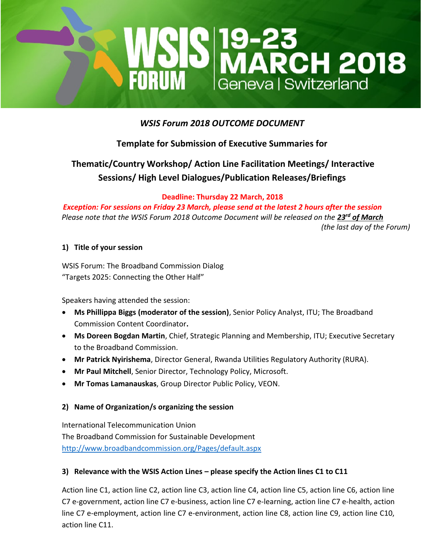

## *WSIS Forum 2018 OUTCOME DOCUMENT*

# **Template for Submission of Executive Summaries for**

# **Thematic/Country Workshop/ Action Line Facilitation Meetings/ Interactive Sessions/ High Level Dialogues/Publication Releases/Briefings**

**Deadline: Thursday 22 March, 2018**

*Exception: For sessions on Friday 23 March, please send at the latest 2 hours after the session Please note that the WSIS Forum 2018 Outcome Document will be released on the 23rd of March (the last day of the Forum)*

#### **1) Title of your session**

WSIS Forum: The Broadband Commission Dialog "Targets 2025: Connecting the Other Half"

Speakers having attended the session:

- **Ms Phillippa Biggs (moderator of the session)**, Senior Policy Analyst, ITU; The Broadband Commission Content Coordinator**.**
- **Ms Doreen Bogdan Martin**, Chief, Strategic Planning and Membership, ITU; Executive Secretary to the Broadband Commission.
- **Mr Patrick Nyirishema**, Director General, Rwanda Utilities Regulatory Authority (RURA).
- **Mr Paul Mitchell**, Senior Director, Technology Policy, Microsoft.
- **Mr Tomas Lamanauskas**, Group Director Public Policy, VEON.

#### **2) Name of Organization/s organizing the session**

International Telecommunication Union The Broadband Commission for Sustainable Development <http://www.broadbandcommission.org/Pages/default.aspx>

#### **3) Relevance with the WSIS Action Lines – please specify the Action lines C1 to C11**

Action line C1, action line C2, action line C3, action line C4, action line C5, action line C6, action line C7 e-government, action line C7 e-business, action line C7 e-learning, action line C7 e-health, action line C7 e-employment, action line C7 e-environment, action line C8, action line C9, action line C10, action line C11.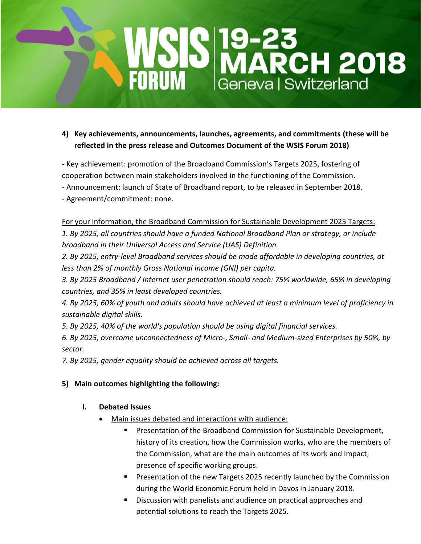# **MSIS 19-23<br>FORUM Geneval Switzerland**

**4) Key achievements, announcements, launches, agreements, and commitments (these will be reflected in the press release and Outcomes Document of the WSIS Forum 2018)**

- Key achievement: promotion of the Broadband Commission's Targets 2025, fostering of

- cooperation between main stakeholders involved in the functioning of the Commission.
- Announcement: launch of State of Broadband report, to be released in September 2018.
- Agreement/commitment: none.

#### For your information, the Broadband Commission for Sustainable Development 2025 Targets:

*1. By 2025, all countries should have a funded National Broadband Plan or strategy, or include broadband in their Universal Access and Service (UAS) Definition.*

*2. By 2025, entry-level Broadband services should be made affordable in developing countries, at less than 2% of monthly Gross National Income (GNI) per capita.*

*3. By 2025 Broadband / Internet user penetration should reach: 75% worldwide, 65% in developing countries, and 35% in least developed countries.*

*4. By 2025, 60% of youth and adults should have achieved at least a minimum level of proficiency in sustainable digital skills.*

*5. By 2025, 40% of the world's population should be using digital financial services.*

*6. By 2025, overcome unconnectedness of Micro-, Small- and Medium-sized Enterprises by 50%, by sector.*

*7. By 2025, gender equality should be achieved across all targets.*

### **5) Main outcomes highlighting the following:**

### **I. Debated Issues**

- Main issues debated and interactions with audience:
	- **Presentation of the Broadband Commission for Sustainable Development,** history of its creation, how the Commission works, who are the members of the Commission, what are the main outcomes of its work and impact, presence of specific working groups.
	- **Presentation of the new Targets 2025 recently launched by the Commission** during the World Economic Forum held in Davos in January 2018.
	- **Discussion with panelists and audience on practical approaches and** potential solutions to reach the Targets 2025.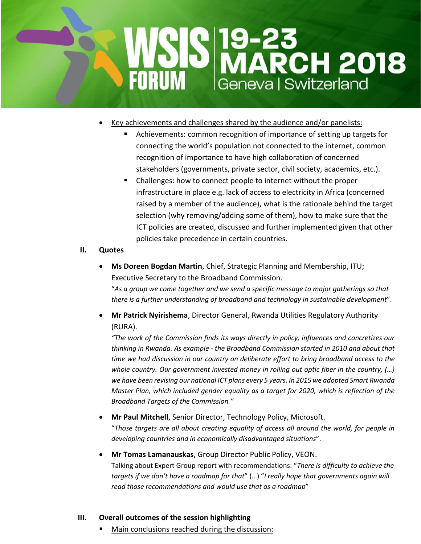

- Key achievements and challenges shared by the audience and/or panelists:
	- Achievements: common recognition of importance of setting up targets for connecting the world's population not connected to the internet, common recognition of importance to have high collaboration of concerned stakeholders (governments, private sector, civil society, academics, etc.).
	- Challenges: how to connect people to internet without the proper infrastructure in place e.g. lack of access to electricity in Africa (concerned raised by a member of the audience), what is the rationale behind the target selection (why removing/adding some of them), how to make sure that the ICT policies are created, discussed and further implemented given that other policies take precedence in certain countries.

#### **II. Quotes**

 **Ms Doreen Bogdan Martin**, Chief, Strategic Planning and Membership, ITU; Executive Secretary to the Broadband Commission.

"*As a group we come together and we send a specific message to major gatherings so that there is a further understanding of broadband and technology in sustainable development*".

 **Mr Patrick Nyirishema**, Director General, Rwanda Utilities Regulatory Authority (RURA).

*"The work of the Commission finds its ways directly in policy, influences and concretizes our thinking in Rwanda. As example - the Broadband Commission started in 2010 and about that time we had discussion in our country on deliberate effort to bring broadband access to the whole country. Our government invested money in rolling out optic fiber in the country, (…) we have been revising our national ICT plans every 5 years. In 2015 we adopted Smart Rwanda Master Plan, which included gender equality as a target for 2020, which is reflection of the Broadband Targets of the Commission."*

### **Mr Paul Mitchell**, Senior Director, Technology Policy, Microsoft.

"*Those targets are all about creating equality of access all around the world, for people in developing countries and in economically disadvantaged situations*".

 **Mr Tomas Lamanauskas**, Group Director Public Policy, VEON. Talking about Expert Group report with recommendations: "*There is difficulty to achieve the targets if we don't have a roadmap for that*" (…) "*I really hope that governments again will read those recommendations and would use that as a roadmap*"

#### **III. Overall outcomes of the session highlighting**

Main conclusions reached during the discussion: